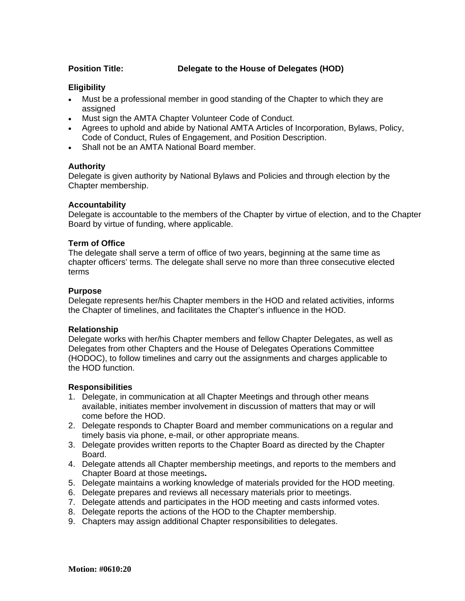# **Position Title: Delegate to the House of Delegates (HOD)**

# **Eligibility**

- Must be a professional member in good standing of the Chapter to which they are assigned
- Must sign the AMTA Chapter Volunteer Code of Conduct.
- Agrees to uphold and abide by National AMTA Articles of Incorporation, Bylaws, Policy, Code of Conduct, Rules of Engagement, and Position Description.
- Shall not be an AMTA National Board member.

# **Authority**

Delegate is given authority by National Bylaws and Policies and through election by the Chapter membership.

### **Accountability**

Delegate is accountable to the members of the Chapter by virtue of election, and to the Chapter Board by virtue of funding, where applicable.

### **Term of Office**

The delegate shall serve a term of office of two years, beginning at the same time as chapter officers' terms. The delegate shall serve no more than three consecutive elected terms

### **Purpose**

Delegate represents her/his Chapter members in the HOD and related activities, informs the Chapter of timelines, and facilitates the Chapter's influence in the HOD.

### **Relationship**

Delegate works with her/his Chapter members and fellow Chapter Delegates, as well as Delegates from other Chapters and the House of Delegates Operations Committee (HODOC), to follow timelines and carry out the assignments and charges applicable to the HOD function.

### **Responsibilities**

- 1. Delegate, in communication at all Chapter Meetings and through other means available, initiates member involvement in discussion of matters that may or will come before the HOD.
- 2. Delegate responds to Chapter Board and member communications on a regular and timely basis via phone, e-mail, or other appropriate means.
- 3. Delegate provides written reports to the Chapter Board as directed by the Chapter Board.
- 4. Delegate attends all Chapter membership meetings, and reports to the members and Chapter Board at those meetings**.**
- 5. Delegate maintains a working knowledge of materials provided for the HOD meeting.
- 6. Delegate prepares and reviews all necessary materials prior to meetings.
- 7. Delegate attends and participates in the HOD meeting and casts informed votes.
- 8. Delegate reports the actions of the HOD to the Chapter membership.
- 9. Chapters may assign additional Chapter responsibilities to delegates.